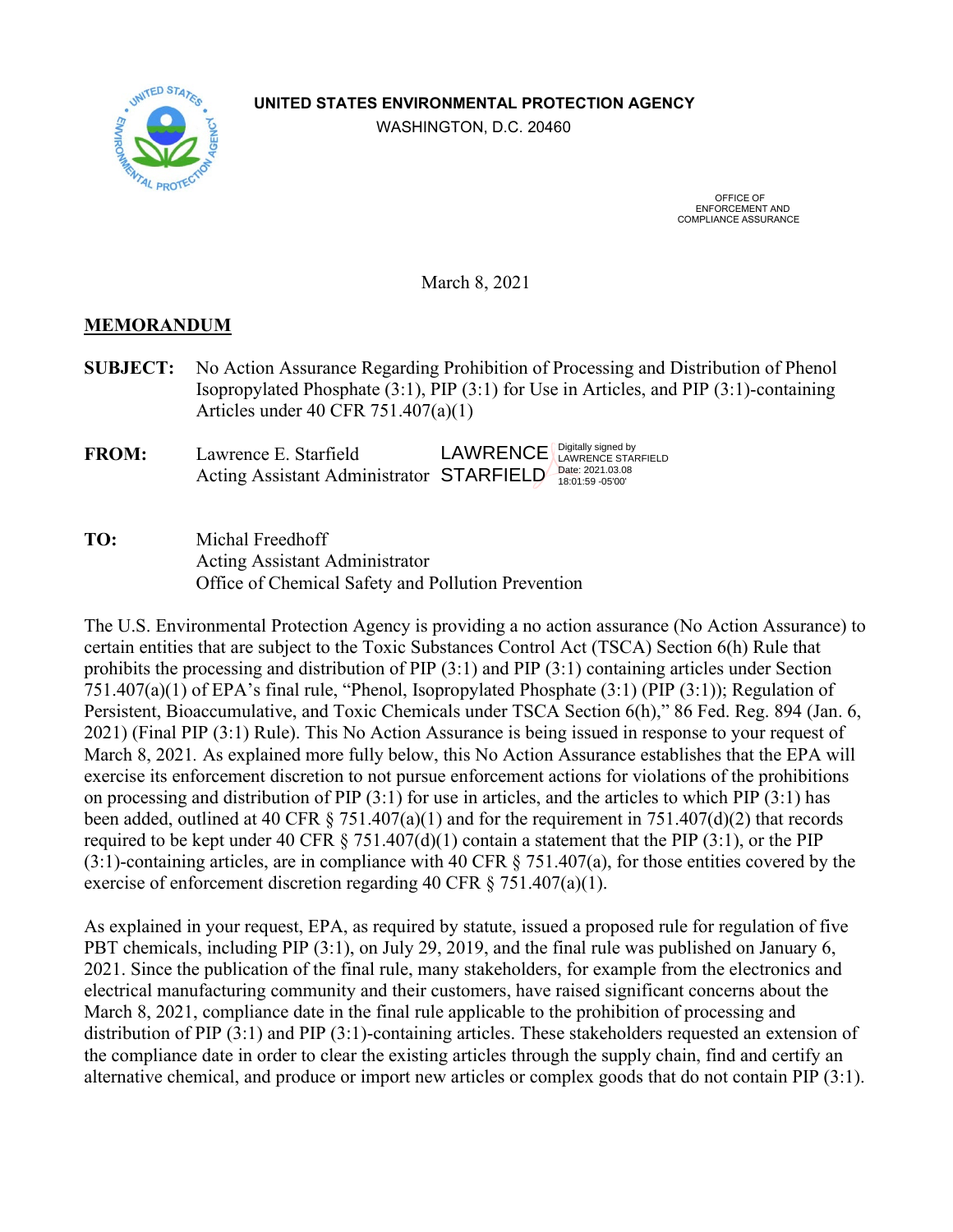## **UNITED STATES ENVIRONMENTAL PROTECTION AGENCY**

WASHINGTON, D.C. 20460



 OFFICE OF ENFORCEMENT AND COMPLIANCE ASSURANCE

March 8, 2021

## **MEMORANDUM**

- **SUBJECT:** No Action Assurance Regarding Prohibition of Processing and Distribution of Phenol Isopropylated Phosphate (3:1), PIP (3:1) for Use in Articles, and PIP (3:1)-containing Articles under 40 CFR 751.407(a)(1)
- **FROM:** Lawrence E. Starfield Acting Assistant Administrator STARFIELD ate: 2021.03.08 LAWRENCE Digitally signed by<br>LAWRENCE LAWRENCE STARFIELD

**TO:** Michal Freedhoff Acting Assistant Administrator Office of Chemical Safety and Pollution Prevention

The U.S. Environmental Protection Agency is providing a no action assurance (No Action Assurance) to certain entities that are subject to the Toxic Substances Control Act (TSCA) Section 6(h) Rule that prohibits the processing and distribution of PIP (3:1) and PIP (3:1) containing articles under Section 751.407(a)(1) of EPA's final rule, "Phenol, Isopropylated Phosphate (3:1) (PIP (3:1)); Regulation of Persistent, Bioaccumulative, and Toxic Chemicals under TSCA Section 6(h)," 86 Fed. Reg. 894 (Jan. 6, 2021) (Final PIP (3:1) Rule). This No Action Assurance is being issued in response to your request of March 8, 2021*.* As explained more fully below, this No Action Assurance establishes that the EPA will exercise its enforcement discretion to not pursue enforcement actions for violations of the prohibitions on processing and distribution of PIP (3:1) for use in articles, and the articles to which PIP (3:1) has been added, outlined at 40 CFR  $\S$  751.407(a)(1) and for the requirement in 751.407(d)(2) that records required to be kept under 40 CFR  $\S$  751.407(d)(1) contain a statement that the PIP (3:1), or the PIP (3:1)-containing articles, are in compliance with 40 CFR § 751.407(a), for those entities covered by the exercise of enforcement discretion regarding 40 CFR § 751.407(a)(1).

As explained in your request, EPA, as required by statute, issued a proposed rule for regulation of five PBT chemicals, including PIP (3:1), on July 29, 2019, and the final rule was published on January 6, 2021. Since the publication of the final rule, many stakeholders, for example from the electronics and electrical manufacturing community and their customers, have raised significant concerns about the March 8, 2021, compliance date in the final rule applicable to the prohibition of processing and distribution of PIP (3:1) and PIP (3:1)-containing articles. These stakeholders requested an extension of the compliance date in order to clear the existing articles through the supply chain, find and certify an alternative chemical, and produce or import new articles or complex goods that do not contain PIP (3:1).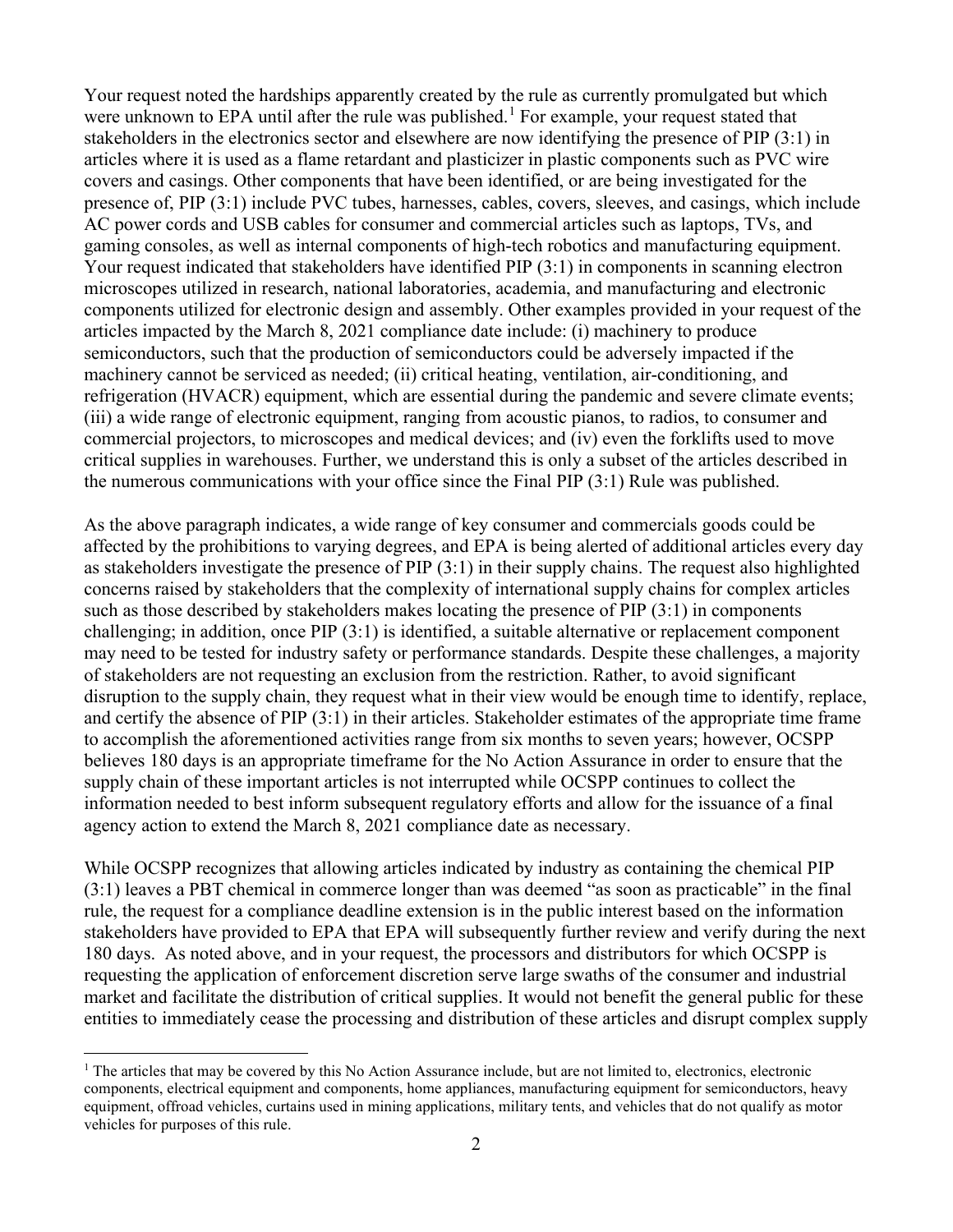Your request noted the hardships apparently created by the rule as currently promulgated but which were unknown to EPA until after the rule was published.<sup>[1](#page-1-0)</sup> For example, your request stated that stakeholders in the electronics sector and elsewhere are now identifying the presence of PIP (3:1) in articles where it is used as a flame retardant and plasticizer in plastic components such as PVC wire covers and casings. Other components that have been identified, or are being investigated for the presence of, PIP (3:1) include PVC tubes, harnesses, cables, covers, sleeves, and casings, which include AC power cords and USB cables for consumer and commercial articles such as laptops, TVs, and gaming consoles, as well as internal components of high-tech robotics and manufacturing equipment. Your request indicated that stakeholders have identified PIP (3:1) in components in scanning electron microscopes utilized in research, national laboratories, academia, and manufacturing and electronic components utilized for electronic design and assembly. Other examples provided in your request of the articles impacted by the March 8, 2021 compliance date include: (i) machinery to produce semiconductors, such that the production of semiconductors could be adversely impacted if the machinery cannot be serviced as needed; (ii) critical heating, ventilation, air-conditioning, and refrigeration (HVACR) equipment, which are essential during the pandemic and severe climate events; (iii) a wide range of electronic equipment, ranging from acoustic pianos, to radios, to consumer and commercial projectors, to microscopes and medical devices; and (iv) even the forklifts used to move critical supplies in warehouses. Further, we understand this is only a subset of the articles described in the numerous communications with your office since the Final PIP (3:1) Rule was published.

As the above paragraph indicates, a wide range of key consumer and commercials goods could be affected by the prohibitions to varying degrees, and EPA is being alerted of additional articles every day as stakeholders investigate the presence of PIP (3:1) in their supply chains. The request also highlighted concerns raised by stakeholders that the complexity of international supply chains for complex articles such as those described by stakeholders makes locating the presence of PIP (3:1) in components challenging; in addition, once PIP (3:1) is identified, a suitable alternative or replacement component may need to be tested for industry safety or performance standards. Despite these challenges, a majority of stakeholders are not requesting an exclusion from the restriction. Rather, to avoid significant disruption to the supply chain, they request what in their view would be enough time to identify, replace, and certify the absence of PIP (3:1) in their articles. Stakeholder estimates of the appropriate time frame to accomplish the aforementioned activities range from six months to seven years; however, OCSPP believes 180 days is an appropriate timeframe for the No Action Assurance in order to ensure that the supply chain of these important articles is not interrupted while OCSPP continues to collect the information needed to best inform subsequent regulatory efforts and allow for the issuance of a final agency action to extend the March 8, 2021 compliance date as necessary.

While OCSPP recognizes that allowing articles indicated by industry as containing the chemical PIP (3:1) leaves a PBT chemical in commerce longer than was deemed "as soon as practicable" in the final rule, the request for a compliance deadline extension is in the public interest based on the information stakeholders have provided to EPA that EPA will subsequently further review and verify during the next 180 days. As noted above, and in your request, the processors and distributors for which OCSPP is requesting the application of enforcement discretion serve large swaths of the consumer and industrial market and facilitate the distribution of critical supplies. It would not benefit the general public for these entities to immediately cease the processing and distribution of these articles and disrupt complex supply

<span id="page-1-0"></span><sup>&</sup>lt;sup>1</sup> The articles that may be covered by this No Action Assurance include, but are not limited to, electronics, electronic components, electrical equipment and components, home appliances, manufacturing equipment for semiconductors, heavy equipment, offroad vehicles, curtains used in mining applications, military tents, and vehicles that do not qualify as motor vehicles for purposes of this rule.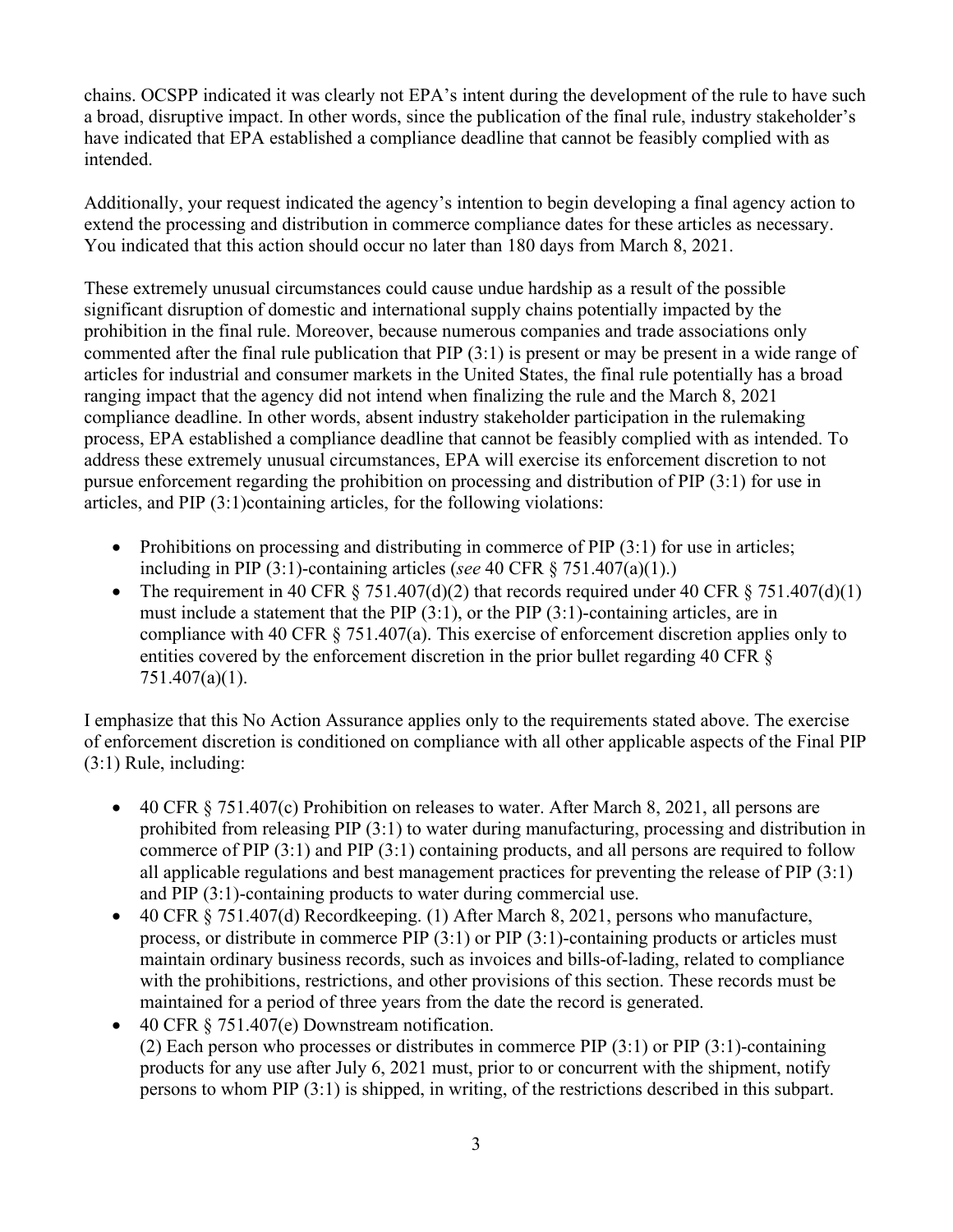chains. OCSPP indicated it was clearly not EPA's intent during the development of the rule to have such a broad, disruptive impact. In other words, since the publication of the final rule, industry stakeholder's have indicated that EPA established a compliance deadline that cannot be feasibly complied with as intended.

Additionally, your request indicated the agency's intention to begin developing a final agency action to extend the processing and distribution in commerce compliance dates for these articles as necessary. You indicated that this action should occur no later than 180 days from March 8, 2021.

These extremely unusual circumstances could cause undue hardship as a result of the possible significant disruption of domestic and international supply chains potentially impacted by the prohibition in the final rule. Moreover, because numerous companies and trade associations only commented after the final rule publication that PIP (3:1) is present or may be present in a wide range of articles for industrial and consumer markets in the United States, the final rule potentially has a broad ranging impact that the agency did not intend when finalizing the rule and the March 8, 2021 compliance deadline. In other words, absent industry stakeholder participation in the rulemaking process, EPA established a compliance deadline that cannot be feasibly complied with as intended. To address these extremely unusual circumstances, EPA will exercise its enforcement discretion to not pursue enforcement regarding the prohibition on processing and distribution of PIP (3:1) for use in articles, and PIP (3:1)containing articles, for the following violations:

- Prohibitions on processing and distributing in commerce of PIP (3:1) for use in articles; including in PIP (3:1)-containing articles (*see* 40 CFR § 751.407(a)(1).)
- The requirement in 40 CFR  $\S$  751.407(d)(2) that records required under 40 CFR  $\S$  751.407(d)(1) must include a statement that the PIP (3:1), or the PIP (3:1)-containing articles, are in compliance with 40 CFR § 751.407(a). This exercise of enforcement discretion applies only to entities covered by the enforcement discretion in the prior bullet regarding 40 CFR § 751.407(a)(1).

I emphasize that this No Action Assurance applies only to the requirements stated above. The exercise of enforcement discretion is conditioned on compliance with all other applicable aspects of the Final PIP (3:1) Rule, including:

- 40 CFR  $\S$  751.407(c) Prohibition on releases to water. After March 8, 2021, all persons are prohibited from releasing PIP (3:1) to water during manufacturing, processing and distribution in commerce of PIP (3:1) and PIP (3:1) containing products, and all persons are required to follow all applicable regulations and best management practices for preventing the release of PIP (3:1) and PIP (3:1)-containing products to water during commercial use.
- 40 CFR § 751.407(d) Recordkeeping. (1) After March 8, 2021, persons who manufacture, process, or distribute in commerce PIP  $(3:1)$  or PIP  $(3:1)$ -containing products or articles must maintain ordinary business records, such as invoices and bills-of-lading, related to compliance with the prohibitions, restrictions, and other provisions of this section. These records must be maintained for a period of three years from the date the record is generated.
- 40 CFR § 751.407(e) Downstream notification. (2) Each person who processes or distributes in commerce PIP (3:1) or PIP (3:1)-containing products for any use after July 6, 2021 must, prior to or concurrent with the shipment, notify persons to whom PIP (3:1) is shipped, in writing, of the restrictions described in this subpart.